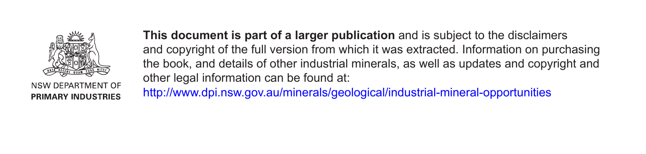

NSW DEPARTMENT OF **PRIMARY INDUSTRIES** 

**This document is part of a larger publication** and is subject to the disclaimers and copyright of the full version from which it was extracted. Information on purchasing the book, and details of other industrial minerals, as well as updates and copyright and other legal information can be found at: http://www.dpi.nsw.gov.au/minerals/geological/industrial-mineral-opportunities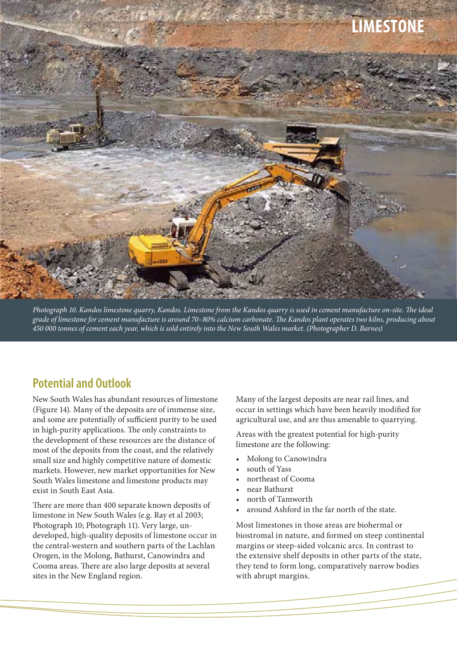

*Photograph 10. Kandos limestone quarry, Kandos. Limestone from the Kandos quarry is used in cement manufacture on-site. The ideal grade of limestone for cement manufacture is around 70–80% calcium carbonate. The Kandos plant operates two kilns, producing about 450 000 tonnes of cement each year, which is sold entirely into the New South Wales market. (Photographer D. Barnes)*

### **Potential and Outlook**

New South Wales has abundant resources of limestone (Figure 14). Many of the deposits are of immense size, and some are potentially of sufficient purity to be used in high-purity applications. The only constraints to the development of these resources are the distance of most of the deposits from the coast, and the relatively small size and highly competitive nature of domestic markets. However, new market opportunities for New South Wales limestone and limestone products may exist in South East Asia.

There are more than 400 separate known deposits of limestone in New South Wales (e.g. Ray et al 2003; Photograph 10; Photograph 11). Very large, undeveloped, high-quality deposits of limestone occur in the central-western and southern parts of the Lachlan Orogen, in the Molong, Bathurst, Canowindra and Cooma areas. There are also large deposits at several sites in the New England region.

Many of the largest deposits are near rail lines, and occur in settings which have been heavily modified for agricultural use, and are thus amenable to quarrying.

Areas with the greatest potential for high-purity limestone are the following:

- Molong to Canowindra
- south of Yass
- northeast of Cooma
- near Bathurst
- north of Tamworth
- around Ashford in the far north of the state.

Most limestones in those areas are biohermal or biostromal in nature, and formed on steep continental margins or steep-sided volcanic arcs. In contrast to the extensive shelf deposits in other parts of the state, they tend to form long, comparatively narrow bodies with abrupt margins.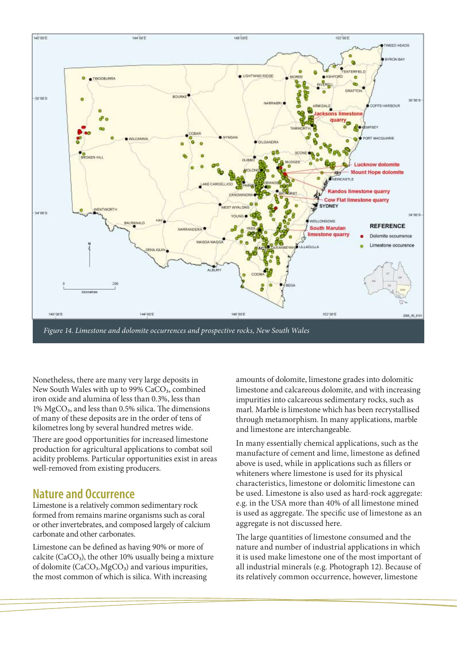

Nonetheless, there are many very large deposits in New South Wales with up to 99% CaCO<sub>3</sub>, combined iron oxide and alumina of less than 0.3%, less than 1% MgCO3, and less than 0.5% silica. The dimensions of many of these deposits are in the order of tens of kilometres long by several hundred metres wide.

There are good opportunities for increased limestone production for agricultural applications to combat soil acidity problems. Particular opportunities exist in areas well-removed from existing producers.

### **Nature and Occurrence**

Limestone is a relatively common sedimentary rock formed from remains marine organisms such as coral or other invertebrates, and composed largely of calcium carbonate and other carbonates.

Limestone can be defined as having 90% or more of calcite (CaCO<sub>3</sub>), the other 10% usually being a mixture of dolomite  $(CaCO<sub>3</sub>.MgCO<sub>3</sub>)$  and various impurities, the most common of which is silica. With increasing

amounts of dolomite, limestone grades into dolomitic limestone and calcareous dolomite, and with increasing impurities into calcareous sedimentary rocks, such as marl. Marble is limestone which has been recrystallised through metamorphism. In many applications, marble and limestone are interchangeable.

In many essentially chemical applications, such as the manufacture of cement and lime, limestone as defined above is used, while in applications such as fillers or whiteners where limestone is used for its physical characteristics, limestone or dolomitic limestone can be used. Limestone is also used as hard-rock aggregate: e.g. in the USA more than 40% of all limestone mined is used as aggregate. The specific use of limestone as an aggregate is not discussed here.

The large quantities of limestone consumed and the nature and number of industrial applications in which it is used make limestone one of the most important of all industrial minerals (e.g. Photograph 12). Because of its relatively common occurrence, however, limestone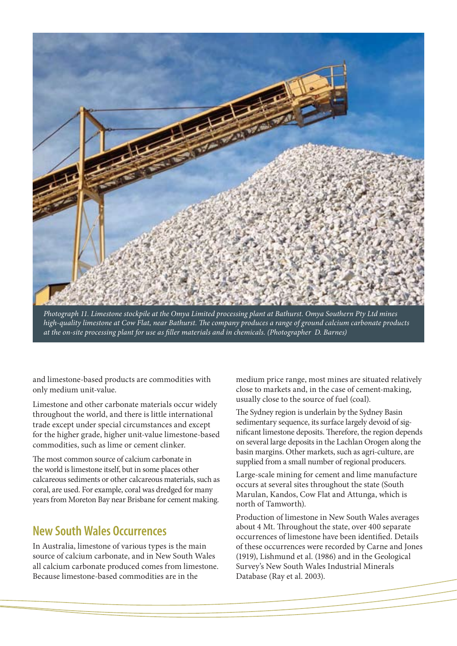

*Photograph 11. Limestone stockpile at the Omya Limited processing plant at Bathurst. Omya Southern Pty Ltd mines high-quality limestone at Cow Flat, near Bathurst. The company produces a range of ground calcium carbonate products at the on-site processing plant for use as filler materials and in chemicals. (Photographer D. Barnes)*

and limestone-based products are commodities with only medium unit-value.

Limestone and other carbonate materials occur widely throughout the world, and there is little international trade except under special circumstances and except for the higher grade, higher unit-value limestone-based commodities, such as lime or cement clinker.

The most common source of calcium carbonate in the world is limestone itself, but in some places other calcareous sediments or other calcareous materials, such as coral, are used. For example, coral was dredged for many years from Moreton Bay near Brisbane for cement making.

#### **New South Wales Occurrences**

In Australia, limestone of various types is the main source of calcium carbonate, and in New South Wales all calcium carbonate produced comes from limestone. Because limestone-based commodities are in the

medium price range, most mines are situated relatively close to markets and, in the case of cement-making, usually close to the source of fuel (coal).

The Sydney region is underlain by the Sydney Basin sedimentary sequence, its surface largely devoid of significant limestone deposits. Therefore, the region depends on several large deposits in the Lachlan Orogen along the basin margins. Other markets, such as agri-culture, are supplied from a small number of regional producers.

Large-scale mining for cement and lime manufacture occurs at several sites throughout the state (South Marulan, Kandos, Cow Flat and Attunga, which is north of Tamworth).

Production of limestone in New South Wales averages about 4 Mt. Throughout the state, over 400 separate occurrences of limestone have been identified. Details of these occurrences were recorded by Carne and Jones (1919), Lishmund et al. (1986) and in the Geological Survey's New South Wales Industrial Minerals Database (Ray et al. 2003).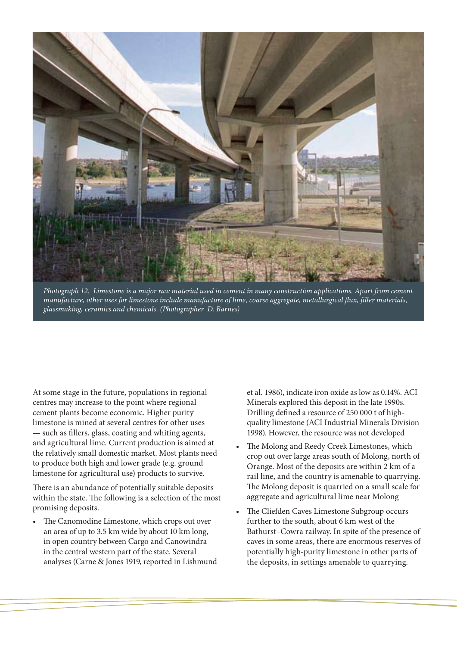

*Photograph 12. Limestone is a major raw material used in cement in many construction applications. Apart from cement manufacture, other uses for limestone include manufacture of lime, coarse aggregate, metallurgical flux, filler materials, glassmaking, ceramics and chemicals. (Photographer D. Barnes)*

At some stage in the future, populations in regional centres may increase to the point where regional cement plants become economic. Higher purity limestone is mined at several centres for other uses — such as fillers, glass, coating and whiting agents, and agricultural lime. Current production is aimed at the relatively small domestic market. Most plants need to produce both high and lower grade (e.g. ground limestone for agricultural use) products to survive.

There is an abundance of potentially suitable deposits within the state. The following is a selection of the most promising deposits.

• The Canomodine Limestone, which crops out over an area of up to 3.5 km wide by about 10 km long, in open country between Cargo and Canowindra in the central western part of the state. Several analyses (Carne & Jones 1919, reported in Lishmund et al. 1986), indicate iron oxide as low as 0.14%. ACI Minerals explored this deposit in the late 1990s. Drilling defined a resource of 250 000 t of highquality limestone (ACI Industrial Minerals Division 1998). However, the resource was not developed

- The Molong and Reedy Creek Limestones, which crop out over large areas south of Molong, north of Orange. Most of the deposits are within 2 km of a rail line, and the country is amenable to quarrying. The Molong deposit is quarried on a small scale for aggregate and agricultural lime near Molong
- The Cliefden Caves Limestone Subgroup occurs further to the south, about 6 km west of the Bathurst–Cowra railway. In spite of the presence of caves in some areas, there are enormous reserves of potentially high-purity limestone in other parts of the deposits, in settings amenable to quarrying.